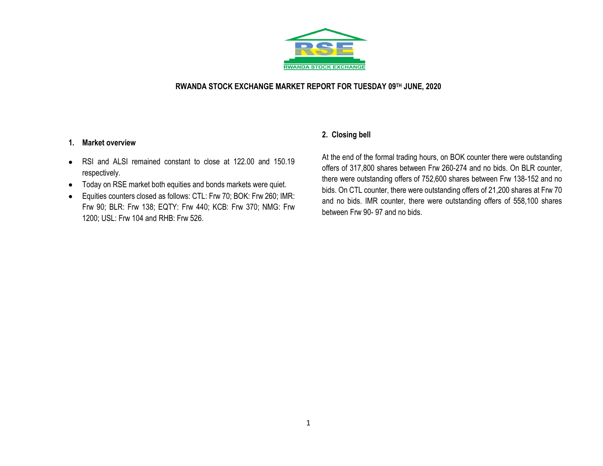

#### **RWANDA STOCK EXCHANGE MARKET REPORT FOR TUESDAY 09TH JUNE, 2020**

#### **1. Market overview**

- RSI and ALSI remained constant to close at 122.00 and 150.19 respectively.
- Today on RSE market both equities and bonds markets were quiet.
- Equities counters closed as follows: CTL: Frw 70; BOK: Frw 260; IMR: Frw 90; BLR: Frw 138; EQTY: Frw 440; KCB: Frw 370; NMG: Frw 1200; USL: Frw 104 and RHB: Frw 526.

### **2. Closing bell**

At the end of the formal trading hours, on BOK counter there were outstanding offers of 317,800 shares between Frw 260-274 and no bids. On BLR counter, there were outstanding offers of 752,600 shares between Frw 138-152 and no bids. On CTL counter, there were outstanding offers of 21,200 shares at Frw 70 and no bids. IMR counter, there were outstanding offers of 558,100 shares between Frw 90- 97 and no bids.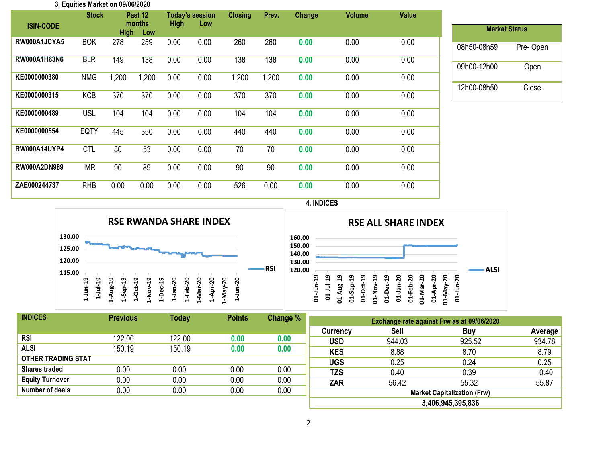|                     | 3. Equities Market on 09/06/2020 |             |                          |             |                               |                |       |        |               |              |
|---------------------|----------------------------------|-------------|--------------------------|-------------|-------------------------------|----------------|-------|--------|---------------|--------------|
| <b>ISIN-CODE</b>    | <b>Stock</b>                     | <b>High</b> | Past 12<br>months<br>Low | <b>High</b> | <b>Today's session</b><br>Low | <b>Closing</b> | Prev. | Change | <b>Volume</b> | <b>Value</b> |
| RW000A1JCYA5        | <b>BOK</b>                       | 278         | 259                      | 0.00        | 0.00                          | 260            | 260   | 0.00   | 0.00          | 0.00         |
| RW000A1H63N6        | <b>BLR</b>                       | 149         | 138                      | 0.00        | 0.00                          | 138            | 138   | 0.00   | 0.00          | 0.00         |
| KE0000000380        | <b>NMG</b>                       | 1,200       | 1,200                    | 0.00        | 0.00                          | 1,200          | 1,200 | 0.00   | 0.00          | 0.00         |
| KE0000000315        | <b>KCB</b>                       | 370         | 370                      | 0.00        | 0.00                          | 370            | 370   | 0.00   | 0.00          | 0.00         |
| KE0000000489        | <b>USL</b>                       | 104         | 104                      | 0.00        | 0.00                          | 104            | 104   | 0.00   | 0.00          | 0.00         |
| KE0000000554        | <b>EQTY</b>                      | 445         | 350                      | 0.00        | 0.00                          | 440            | 440   | 0.00   | 0.00          | 0.00         |
| <b>RW000A14UYP4</b> | <b>CTL</b>                       | 80          | 53                       | 0.00        | 0.00                          | 70             | 70    | 0.00   | 0.00          | 0.00         |
| RW000A2DN989        | <b>IMR</b>                       | 90          | 89                       | 0.00        | 0.00                          | 90             | 90    | 0.00   | 0.00          | 0.00         |
| ZAE000244737        | <b>RHB</b>                       | 0.00        | 0.00                     | 0.00        | 0.00                          | 526            | 0.00  | 0.00   | 0.00          | 0.00         |

| <b>Market Status</b> |          |
|----------------------|----------|
| 08h50-08h59          | Pre-Open |
| 09h00-12h00          | Open     |
| 12h00-08h50          | Close    |

**4. INDICES**



| <b>RSE ALL SHARE INDEX</b> |          |               |            |        |        |               |      |            |        |        |       |        |     |      |
|----------------------------|----------|---------------|------------|--------|--------|---------------|------|------------|--------|--------|-------|--------|-----|------|
| 160.00                     |          |               |            |        |        |               |      |            |        |        |       |        |     |      |
| 150.00<br>140.00           |          |               |            |        |        |               |      |            |        |        |       |        |     |      |
| 130.00                     |          |               |            |        |        |               |      |            |        |        |       |        |     |      |
| 120.00                     | ᡡ        | თ<br>H        | ఇ          | თ<br>⊣ | ្ព     | ឡ             | ဍ    | ຊ          | ្ល     | ្ល     | ន     | ន      | ន   | ALSI |
|                            | 01-Jun-1 |               | <b>Aug</b> | -Sep   | ಕ<br>o |               | -Dec |            |        |        | -Apr- |        |     |      |
|                            |          | $\frac{1}{2}$ | នី         | ੜ      | ដ      | <b>VON-TC</b> | ਏ    | $01$ -Jan- | 01-Feb | D1-Mai | ຮ່    | VeM-TO | ភ្ន |      |

| <b>INDICES</b>            | <b>Previous</b> | <b>Today</b> | <b>Points</b> | Change % |  |
|---------------------------|-----------------|--------------|---------------|----------|--|
|                           |                 |              |               |          |  |
| <b>RSI</b>                | 122.00          | 122.00       | 0.00          | 0.00     |  |
| <b>ALSI</b>               | 150.19          | 150.19       | 0.00          | 0.00     |  |
| <b>OTHER TRADING STAT</b> |                 |              |               |          |  |
| <b>Shares traded</b>      | 0.00            | 0.00         | 0.00          | 0.00     |  |
| <b>Equity Turnover</b>    | 0.00            | 0.00         | 0.00          | 0.00     |  |
| Number of deals           | 0.00            | 0.00         | 0.00          | 0.00     |  |
|                           |                 |              |               |          |  |

| Exchange rate against Frw as at 09/06/2020 |             |        |         |  |  |  |  |  |  |
|--------------------------------------------|-------------|--------|---------|--|--|--|--|--|--|
| Currency                                   | <b>Sell</b> | Buy    | Average |  |  |  |  |  |  |
| <b>USD</b>                                 | 944.03      | 925.52 | 934.78  |  |  |  |  |  |  |
| <b>KES</b>                                 | 8.88        | 8.70   | 8.79    |  |  |  |  |  |  |
| <b>UGS</b>                                 | 0.25        | 0.24   | 0.25    |  |  |  |  |  |  |
| <b>TZS</b>                                 | 0.40        | 0.39   | 0.40    |  |  |  |  |  |  |
| <b>ZAR</b>                                 | 56.42       | 55.32  | 55.87   |  |  |  |  |  |  |
| <b>Market Capitalization (Frw)</b>         |             |        |         |  |  |  |  |  |  |
| 3,406,945,395,836                          |             |        |         |  |  |  |  |  |  |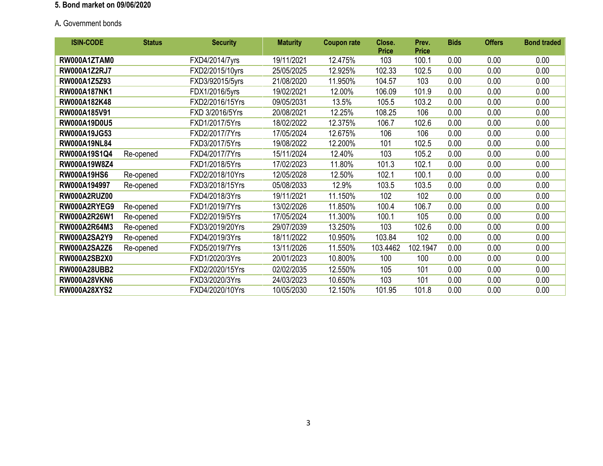# **5. Bond market on 09/06/2020**

# A**.** Government bonds

| <b>ISIN-CODE</b>    | <b>Status</b> | <b>Security</b> | <b>Maturity</b> | <b>Coupon rate</b> | Close.<br><b>Price</b> | Prev.<br><b>Price</b> | <b>Bids</b> | <b>Offers</b> | <b>Bond traded</b> |
|---------------------|---------------|-----------------|-----------------|--------------------|------------------------|-----------------------|-------------|---------------|--------------------|
| RW000A1ZTAM0        |               | FXD4/2014/7yrs  | 19/11/2021      | 12.475%            | 103                    | 100.1                 | 0.00        | 0.00          | 0.00               |
| <b>RW000A1Z2RJ7</b> |               | FXD2/2015/10yrs | 25/05/2025      | 12.925%            | 102.33                 | 102.5                 | 0.00        | 0.00          | 0.00               |
| RW000A1Z5Z93        |               | FXD3/92015/5yrs | 21/08/2020      | 11.950%            | 104.57                 | 103                   | 0.00        | 0.00          | 0.00               |
| <b>RW000A187NK1</b> |               | FDX1/2016/5yrs  | 19/02/2021      | 12.00%             | 106.09                 | 101.9                 | 0.00        | 0.00          | 0.00               |
| RW000A182K48        |               | FXD2/2016/15Yrs | 09/05/2031      | 13.5%              | 105.5                  | 103.2                 | 0.00        | 0.00          | 0.00               |
| RW000A185V91        |               | FXD 3/2016/5Yrs | 20/08/2021      | 12.25%             | 108.25                 | 106                   | 0.00        | 0.00          | 0.00               |
| RW000A19D0U5        |               | FXD1/2017/5Yrs  | 18/02/2022      | 12.375%            | 106.7                  | 102.6                 | 0.00        | 0.00          | 0.00               |
| RW000A19JG53        |               | FXD2/2017/7Yrs  | 17/05/2024      | 12.675%            | 106                    | 106                   | 0.00        | 0.00          | 0.00               |
| <b>RW000A19NL84</b> |               | FXD3/2017/5Yrs  | 19/08/2022      | 12.200%            | 101                    | 102.5                 | 0.00        | 0.00          | 0.00               |
| RW000A19S1Q4        | Re-opened     | FXD4/2017/7Yrs  | 15/11/2024      | 12.40%             | 103                    | 105.2                 | 0.00        | 0.00          | 0.00               |
| RW000A19W8Z4        |               | FXD1/2018/5Yrs  | 17/02/2023      | 11.80%             | 101.3                  | 102.1                 | 0.00        | 0.00          | 0.00               |
| <b>RW000A19HS6</b>  | Re-opened     | FXD2/2018/10Yrs | 12/05/2028      | 12.50%             | 102.1                  | 100.1                 | 0.00        | 0.00          | 0.00               |
| RW000A194997        | Re-opened     | FXD3/2018/15Yrs | 05/08/2033      | 12.9%              | 103.5                  | 103.5                 | 0.00        | 0.00          | 0.00               |
| <b>RW000A2RUZ00</b> |               | FXD4/2018/3Yrs  | 19/11/2021      | 11.150%            | 102                    | 102                   | 0.00        | 0.00          | 0.00               |
| RW000A2RYEG9        | Re-opened     | FXD1/2019/7Yrs  | 13/02/2026      | 11.850%            | 100.4                  | 106.7                 | 0.00        | 0.00          | 0.00               |
| RW000A2R26W1        | Re-opened     | FXD2/2019/5Yrs  | 17/05/2024      | 11.300%            | 100.1                  | 105                   | 0.00        | 0.00          | 0.00               |
| RW000A2R64M3        | Re-opened     | FXD3/2019/20Yrs | 29/07/2039      | 13.250%            | 103                    | 102.6                 | 0.00        | 0.00          | 0.00               |
| <b>RW000A2SA2Y9</b> | Re-opened     | FXD4/2019/3Yrs  | 18/11/2022      | 10.950%            | 103.84                 | 102                   | 0.00        | 0.00          | 0.00               |
| <b>RW000A2SA2Z6</b> | Re-opened     | FXD5/2019/7Yrs  | 13/11/2026      | 11.550%            | 103.4462               | 102.1947              | 0.00        | 0.00          | 0.00               |
| <b>RW000A2SB2X0</b> |               | FXD1/2020/3Yrs  | 20/01/2023      | 10.800%            | 100                    | 100                   | 0.00        | 0.00          | 0.00               |
| <b>RW000A28UBB2</b> |               | FXD2/2020/15Yrs | 02/02/2035      | 12.550%            | 105                    | 101                   | 0.00        | 0.00          | 0.00               |
| <b>RW000A28VKN6</b> |               | FXD3/2020/3Yrs  | 24/03/2023      | 10.650%            | 103                    | 101                   | 0.00        | 0.00          | 0.00               |
| <b>RW000A28XYS2</b> |               | FXD4/2020/10Yrs | 10/05/2030      | 12.150%            | 101.95                 | 101.8                 | 0.00        | 0.00          | 0.00               |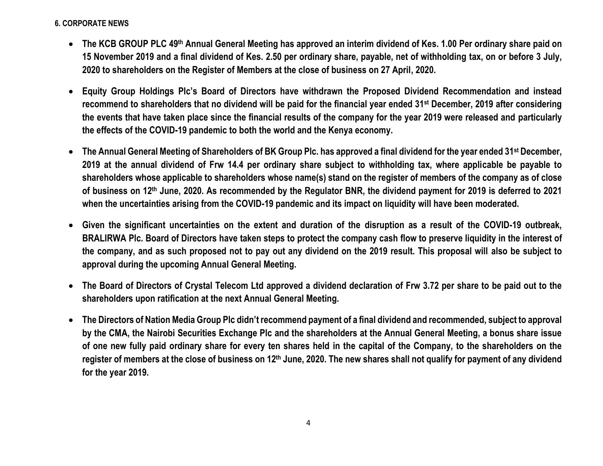## **6. CORPORATE NEWS**

- **The KCB GROUP PLC 49th Annual General Meeting has approved an interim dividend of Kes. 1.00 Per ordinary share paid on 15 November 2019 and a final dividend of Kes. 2.50 per ordinary share, payable, net of withholding tax, on or before 3 July, 2020 to shareholders on the Register of Members at the close of business on 27 April, 2020.**
- **Equity Group Holdings Plc's Board of Directors have withdrawn the Proposed Dividend Recommendation and instead recommend to shareholders that no dividend will be paid for the financial year ended 31st December, 2019 after considering the events that have taken place since the financial results of the company for the year 2019 were released and particularly the effects of the COVID-19 pandemic to both the world and the Kenya economy.**
- **The Annual General Meeting of Shareholders of BK Group Plc. has approved a final dividend for the year ended 31st December, 2019 at the annual dividend of Frw 14.4 per ordinary share subject to withholding tax, where applicable be payable to shareholders whose applicable to shareholders whose name(s) stand on the register of members of the company as of close of business on 12th June, 2020. As recommended by the Regulator BNR, the dividend payment for 2019 is deferred to 2021 when the uncertainties arising from the COVID-19 pandemic and its impact on liquidity will have been moderated.**
- **Given the significant uncertainties on the extent and duration of the disruption as a result of the COVID-19 outbreak, BRALIRWA Plc. Board of Directors have taken steps to protect the company cash flow to preserve liquidity in the interest of the company, and as such proposed not to pay out any dividend on the 2019 result. This proposal will also be subject to approval during the upcoming Annual General Meeting.**
- **The Board of Directors of Crystal Telecom Ltd approved a dividend declaration of Frw 3.72 per share to be paid out to the shareholders upon ratification at the next Annual General Meeting.**
- **The Directors of Nation Media Group Plc didn't recommend payment of a final dividend and recommended, subject to approval by the CMA, the Nairobi Securities Exchange Plc and the shareholders at the Annual General Meeting, a bonus share issue of one new fully paid ordinary share for every ten shares held in the capital of the Company, to the shareholders on the register of members at the close of business on 12th June, 2020. The new shares shall not qualify for payment of any dividend for the year 2019.**